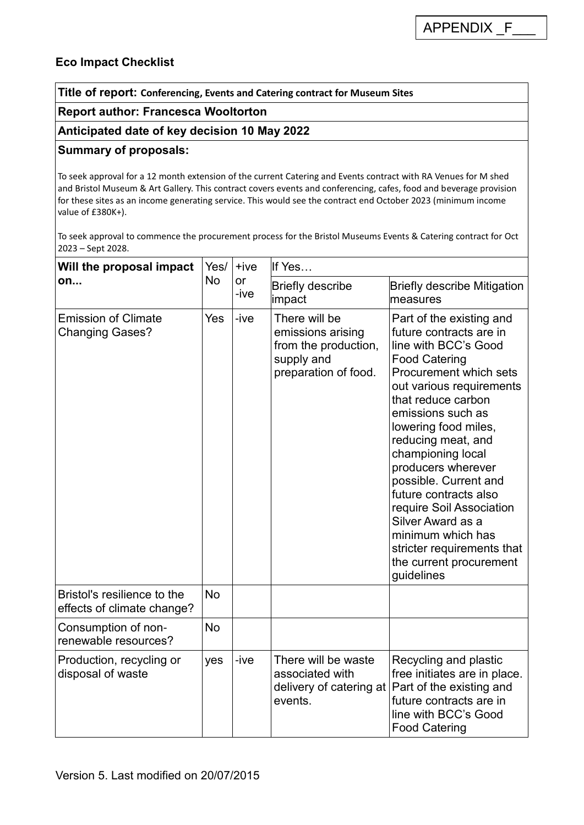# **Eco Impact Checklist**

**Title of report: Conferencing, Events and Catering contract for Museum Sites**

#### **Report author: Francesca Wooltorton**

#### **Anticipated date of key decision 10 May 2022**

### **Summary of proposals:**

To seek approval for a 12 month extension of the current Catering and Events contract with RA Venues for M shed and Bristol Museum & Art Gallery. This contract covers events and conferencing, cafes, food and beverage provision for these sites as an income generating service. This would see the contract end October 2023 (minimum income value of £380K+).

To seek approval to commence the procurement process for the Bristol Museums Events & Catering contract for Oct 2023 – Sept 2028.

| Will the proposal impact<br>on                            | Yes/<br><b>No</b> | $+ive$<br>or<br>-ive | If Yes                                                                                           |                                                                                                                                                                                                                                                                                                                                                                                                                                                                                              |  |
|-----------------------------------------------------------|-------------------|----------------------|--------------------------------------------------------------------------------------------------|----------------------------------------------------------------------------------------------------------------------------------------------------------------------------------------------------------------------------------------------------------------------------------------------------------------------------------------------------------------------------------------------------------------------------------------------------------------------------------------------|--|
|                                                           |                   |                      | <b>Briefly describe</b><br>impact                                                                | <b>Briefly describe Mitigation</b><br>measures                                                                                                                                                                                                                                                                                                                                                                                                                                               |  |
| <b>Emission of Climate</b><br><b>Changing Gases?</b>      | Yes               | -ive                 | There will be<br>emissions arising<br>from the production,<br>supply and<br>preparation of food. | Part of the existing and<br>future contracts are in<br>line with BCC's Good<br><b>Food Catering</b><br>Procurement which sets<br>out various requirements<br>that reduce carbon<br>emissions such as<br>lowering food miles,<br>reducing meat, and<br>championing local<br>producers wherever<br>possible. Current and<br>future contracts also<br>require Soil Association<br>Silver Award as a<br>minimum which has<br>stricter requirements that<br>the current procurement<br>guidelines |  |
| Bristol's resilience to the<br>effects of climate change? | <b>No</b>         |                      |                                                                                                  |                                                                                                                                                                                                                                                                                                                                                                                                                                                                                              |  |
| Consumption of non-<br>renewable resources?               | <b>No</b>         |                      |                                                                                                  |                                                                                                                                                                                                                                                                                                                                                                                                                                                                                              |  |
| Production, recycling or<br>disposal of waste             | yes               | -ive                 | There will be waste<br>associated with<br>events.                                                | Recycling and plastic<br>free initiates are in place.<br>delivery of catering at Part of the existing and<br>future contracts are in<br>line with BCC's Good<br><b>Food Catering</b>                                                                                                                                                                                                                                                                                                         |  |